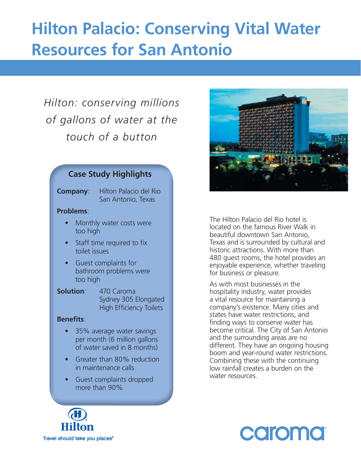## **Hilton Palacio: Conserving Vital Water Resources for San Antonio**

### *Hilton: conserving millions of gallons of water at the touch of a button*

#### **Case Study Highlights**

**Company**: Hilton Palacio del Rio San Antonio, Texas

#### **Problems**:

- Monthly water costs were too high
- Staff time required to fix toilet issues
- Guest complaints for bathroom problems were too high
- **Solution**: 470 Caroma Sydney 305 Elongated High Efficiency Toilets

#### **Benefits:**

- 35% average water savings per month (6 million gallons of water saved in 8 months)
- Greater than 80% reduction in maintenance calls
- Guest complaints dropped more than 90%



The Hilton Palacio del Rio hotel is located on the famous River Walk in beautiful downtown San Antonio, Texas and is surrounded by cultural and historic attractions. With more than 480 guest rooms, the hotel provides an enjoyable experience, whether traveling for business or pleasure.

As with most businesses in the hospitality industry, water provides a vital resource for maintaining a company's existence. Many cities and states have water restrictions, and finding ways to conserve water has become critical. The City of San Antonio and the surrounding areas are no different. They have an ongoing housing boom and year-round water restrictions. Combining these with the continuing low rainfall creates a burden on the water resources.



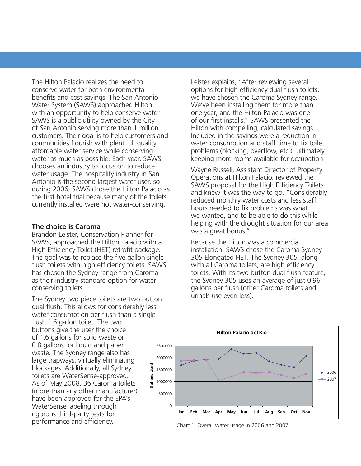The Hilton Palacio realizes the need to conserve water for both environmental benefits and cost savings. The San Antonio Water System (SAWS) approached Hilton with an opportunity to help conserve water. SAWS is a public utility owned by the City of San Antonio serving more than 1 million customers. Their goal is to help customers and communities flourish with plentiful, quality, affordable water service while conserving water as much as possible. Each year, SAWS chooses an industry to focus on to reduce water usage. The hospitality industry in San Antonio is the second largest water user, so during 2006, SAWS chose the Hilton Palacio as the first hotel trial because many of the toilets currently installed were not water-conserving.

#### **The choice is Caroma**

Brandon Leister, Conservation Planner for SAWS, approached the Hilton Palacio with a High Efficiency Toilet (HET) retrofit package. The goal was to replace the five gallon single flush toilets with high efficiency toilets. SAWS has chosen the Sydney range from Caroma as their industry standard option for waterconserving toilets.

The Sydney two piece toilets are two button dual flush. This allows for considerably less water consumption per flush than a single

flush 1.6 gallon toilet. The two buttons give the user the choice of 1.6 gallons for solid waste or 0.8 gallons for liquid and paper waste. The Sydney range also has large trapways, virtually eliminating blockages. Additionally, all Sydney toilets are WaterSense-approved. As of May 2008, 36 Caroma toilets (more than any other manufacturer) have been approved for the EPA's WaterSense labeling through rigorous third-party tests for performance and efficiency.

Leister explains, "After reviewing several options for high efficiency dual flush toilets, we have chosen the Caroma Sydney range. We've been installing them for more than one year, and the Hilton Palacio was one of our first installs." SAWS presented the Hilton with compelling, calculated savings. Included in the savings were a reduction in water consumption and staff time to fix toilet problems (blocking, overflow, etc.), ultimately keeping more rooms available for occupation.

Wayne Russell, Assistant Director of Property Operations at Hilton Palacio, reviewed the SAWS proposal for the High Efficiency Toilets and knew it was the way to go. "Considerably reduced monthly water costs and less staff hours needed to fix problems was what we wanted, and to be able to do this while helping with the drought situation for our area was a great bonus."

Because the Hilton was a commercial installation, SAWS chose the Caroma Sydney 305 Elongated HET. The Sydney 305, along with all Caroma toilets, are high efficiency toilets. With its two button dual flush feature. the Sydney 305 uses an average of just 0.96 gallons per flush (other Caroma toilets and urinals use even less).



Chart 1: Overall water usage in 2006 and 2007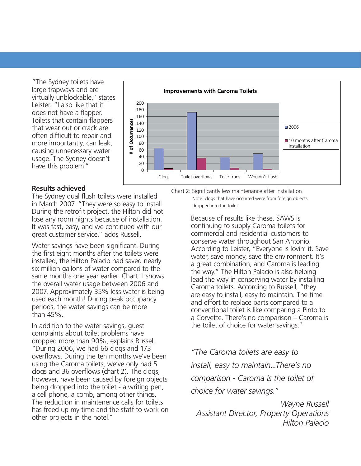"The Sydney toilets have large trapways and are virtually unblockable," states Leister. "I also like that it does not have a flapper. Toilets that contain flappers that wear out or crack are often difficult to repair and more importantly, can leak, causing unnecessary water usage. The Sydney doesn't have this problem."



#### **Results achieved**

The Sydney dual flush toilets were installed in March 2007. "They were so easy to install. During the retrofit project, the Hilton did not lose any room nights because of installation. It was fast, easy, and we continued with our great customer service," adds Russell.

Water savings have been significant. During the first eight months after the toilets were installed, the Hilton Palacio had saved nearly six million gallons of water compared to the same months one year earlier. Chart 1 shows the overall water usage between 2006 and 2007. Approximately 35% less water is being used each month! During peak occupancy periods, the water savings can be more than 45%.

In addition to the water savings, guest complaints about toilet problems have dropped more than 90%, explains Russell. "During 2006, we had 66 clogs and 173 overflows. During the ten months we've been using the Caroma toilets, we've only had 5 clogs and 36 overflows (chart 2). The clogs, however, have been caused by foreign objects being dropped into the toilet - a writing pen, a cell phone, a comb, among other things. The reduction in maintenence calls for toilets has freed up my time and the staff to work on other projects in the hotel."

Chart 2: Significantly less maintenance after installation

Note: clogs that have occurred were from foreign objects dropped into the toilet

Because of results like these, SAWS is continuing to supply Caroma toilets for commercial and residential customers to conserve water throughout San Antonio. According to Leister, "Everyone is lovin' it. Save water, save money, save the environment. It's a great combination, and Caroma is leading the way." The Hilton Palacio is also helping lead the way in conserving water by installing Caroma toilets. According to Russell, "they are easy to install, easy to maintain. The time and effort to replace parts compared to a conventional toilet is like comparing a Pinto to a Corvette. There's no comparison – Caroma is the toilet of choice for water savings."

*"The Caroma toilets are easy to install, easy to maintain...There's no comparison - Caroma is the toilet of choice for water savings."*

*Wayne Russell Assistant Director, Property Operations Hilton Palacio*